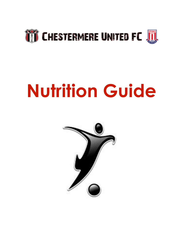

# **Nutrition Guide**

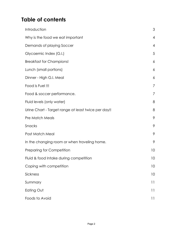## **Table of contents**

| Introduction                                        | 3              |
|-----------------------------------------------------|----------------|
| Why is the food we eat important                    | $\overline{4}$ |
| Demands of playing Soccer                           | $\overline{4}$ |
| Glycaemic Index (G.I.)                              | 5              |
| <b>Breakfast for Champions!</b>                     | 6              |
| Lunch (small portions)                              | 6              |
| Dinner - High G.I. Meal                             | 6              |
| Food is Fuel !!!                                    | 7              |
| Food & soccer performance.                          | 7              |
| Fluid levels (only water)                           | 8              |
| Urine Chart - Target range at least twice per day!! | 8              |
| <b>Pre Match Meals</b>                              | 9              |
| Snacks                                              | 9              |
| Post Match Meal                                     | 9              |
| In the changing room or when traveling home.        | 9              |
| <b>Preparing for Competition</b>                    | 10             |
| Fluid & food Intake during competition              | 10             |
| Coping with competition                             | 10             |
| Sickness                                            | 10             |
| Summary                                             | 11             |
| Eating Out                                          | $\vert \vert$  |
| Foods to Avoid                                      | 11             |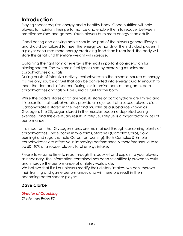## **Introduction**

Playing soccer requires energy and a healthy body. Good nutrition will help players to maintain their performance and enable them to recover between practice sessions and games. Youth players burn more energy than adults.

Good eating and drinking habits should be part of the players general lifestyle, and should be tailored to meet the energy demands of the individual players. If a player consumes more energy producing food than is required, the body will store this as fat and therefore weight will increase.

Obtaining the right form of energy is the most important consideration for playing soccer. The two main fuel types used by exercising muscles are carbohydrates and fats.

During bursts of intensive activity, carbohydrate is the essential source of energy It is the only source of fuel that can be converted into energy quickly enough to meet the demands of soccer. During less intensive parts of the game, both carbohydrates and fats will be used as fuel for the body.

While the body's stores of fat are vast, its stores of carbohydrate are limited and it is essential that carbohydrates provide a major part of a soccer players diet. Carbohydrate is stored in the liver and muscles as a substance known as Glycogen. The Glycogen stored in the muscles become depleted during exercise , and this eventually results in fatigue. Fatigue is a major factor in loss of performance.

It is important that Glycogen stores are maintained through consuming plenty of carbohydrates. These come in two forms, Starches (Complex Carbs, slow burning) and sugars (simple Carbs, fast burning). Both Complex & Simple carbohydrates are effective in improving performance & therefore should take up 50- 60% of a soccer players total energy intake.

Please take some time to read through this booklet and explain to your players as necessary. The information contained has been scientifically proven to assist and improve the performance of athletes worldwide.

We believe that if all our players modify their dietary intakes, we can improve their training and game performances and will therefore result in them becoming better soccer players.

#### **Dave Clarke**

*Director of Coaching Chestermere United FC*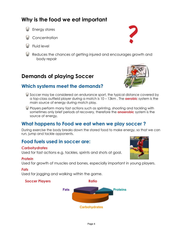## **Why is the food we eat important**

- Energy stores
- **Concentration**
- Fluid level
- Reduces the chances of getting injured and encourages growth and body repair

## **Demands of playing Soccer**

## **Which systems meet the demands?**

- Soccer may be considered an endurance sport, the typical distance covered by a top-class outfield player during a match is 10 – 13km . The **aerobic** system is the main source of energy during match play.
- Players perform many fast actions such as sprinting, shooting and tackling with sometimes only brief periods of recovery, therefore the **anaerobic** system is the source of energy.

### **What happens to Food we eat when we play soccer ?**

During exercise the body breaks down the stored food to make energy, so that we can run, jump and tackle opponents.

#### **Food fuels used in soccer are:**

#### *Carbohydrates*

Used for fast actions e.g. tackles, sprints and shots at goal.

#### *Protein*

Used for growth of muscles and bones, especially important in young players.

#### *Fats*

Used for jogging and walking within the game.

#### **Soccer Players Additional Property**





?

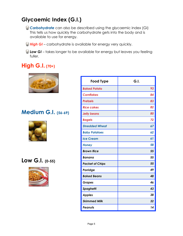## **Glycaemic Index (G.I.)**

- *Carbohydrate* can also be described using the glycaemic index (GI) This tells us how quickly the carbohydrate gets into the body and is available to use for energy.
- *High GI* carbohydrate is available for energy very quickly.
- *Low GI* takes longer to be available for energy but leaves you feeling fuller.

## **High G.I. (70+)**



## **Medium G.I. (56-69)**



## **Low G.I. (0-55)**



| <b>Food Type</b>       | G.I. |
|------------------------|------|
| <b>Baked Potato</b>    | 93   |
| <b>Cornflakes</b>      | 84   |
| <b>Pretzels</b>        | 83   |
| <b>Rice cakes</b>      | 82   |
| <b>Jelly beans</b>     | 80   |
| <b>Bagels</b>          | 72   |
| <b>Shredded Wheat</b>  | 67   |
| <b>Baby Potatoes</b>   | 62   |
| <b>Ice Cream</b>       | 61   |
| <b>Honey</b>           | 58   |
| <b>Brown Rice</b>      | 55   |
| Banana                 | 55   |
| <b>Packet of Chips</b> | 55   |
| Porridge               | 49   |
| <b>Baked Beans</b>     | 48   |
| <b>Grapes</b>          | 46   |
| <b>Spaghetti</b>       | 43   |
| <b>Apples</b>          | 38   |
| <b>Skimmed Milk</b>    | 32   |
| Peanuts                | 14   |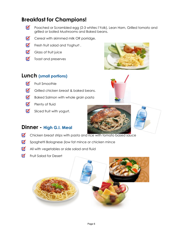## **Breakfast for Champions!**

- ☑ Poached or Scrambled egg (2-3 whites:1Yolk), Lean Ham, Grilled tomato and grilled or boiled Mushrooms and Baked beans.
- ☑ Cereal with skimmed milk OR porridge.
- ☑ Fresh fruit salad and Yoghurt .
- ☑ Glass of fruit juice
- ☑ Toast and preserves

#### **Lunch (small portions)**

- ☑ Fruit Smoothie
- ल Grilled chicken breast & baked beans.
- $\blacksquare$ Baked Salmon with whole grain pasta
- $\blacksquare$ Plenty of fluid
- ☑ Sliced fruit with yogurt.





#### **Dinner - High G.I. Meal**

- ☑ Chicken breast strips with pasta and rice with tomato based sauce
- ल Spaghetti Bolognese (low fat mince or chicken mince
- М All with vegetables or side salad and fluid
- ☑ Fruit Salad for Desert

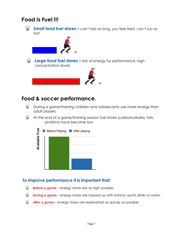## **Food is Fuel !!!**



*Small food fuel stores* = can't last as long, you feel tired, can't run as fast



**Large food fuel stores** = lots of energy for performance, high concentration levels



## **Food & soccer performance.**

- Θ During a game/training children and adolescents use more energy than adult players
- ω At the end of a game/training session fuel stores (carbohydrates, fats, proteins) have become low



#### **To improve performance it is important that:**

- *Before a game*  energy stores are as high possible.
- *During a game* energy stores are topped up with isotonic sports drinks or water.
- ⊌ *After a game* – energy stores are replenished as quickly as possible.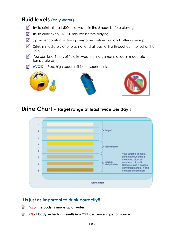## **Fluid levels (only water)**

- Try to drink at least 500 ml of water in the 2 hours before playing.
- $\blacksquare$  Try to drink every 15 20 minutes before playing.
- Sip water constantly during pre-game routine and drink after warm-up.
- **Drink immediately after playing, and at least a litre throughout the rest of the** day.
- You can lose 2 litres of fluid in sweat during games played in moderate temperatures.
- **AVOID** Pop, high sugar fruit juice, sports drinks.







## **Urine Chart - Target range at least twice per day!!**



#### **It is just as important to drink correctly!!**

- **2/3 of the body is made up of water.**  ω
- **2% of body water lost, results in a 20% decrease in performance**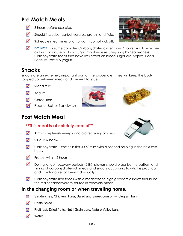## **Pre Match Meals**

- $\blacksquare$ 3 hours before exercise.
- $\blacksquare$ Should include: - carbohydrates, protein and fluid.



- $\blacksquare$ Schedule meal times prior to warm up not kick off.
- $\blacksquare$ **DO NOT** consume complex Carbohydrates closer than 2 hours prior to exercise as this can cause a blood sugar imbalance resulting in light-headedness. Carbohydrate foods that have less effect on blood sugar are Apples, Pears, Peanuts, Pasta & yogurt.

## **Snacks**

Snacks are an extremely important part of the soccer diet. They will keep the body topped up between meals and prevent fatigue.



- ⊽ Yogurt
- ल Cereal Bars
- **Peanut Butter Sandwich**

## **Post Match Meal**





#### **\*\*This meal is absolutely crucial\*\***

- $\blacksquare$ Aims to replenish energy and aid recovery process
- ⊽ 2 Hour Window
- $\blacksquare$ Carbohydrate + Water in first 30-60mins with a second helping in the next two hours
- ल Protein within 2 hours
- During longer recovery periods (24h), players should organize the pattern and  $\blacksquare$ timing of carbohydrate-rich meals and snacks according to what is practical and comfortable for them individually.
- ☑ Carbohydrate-rich foods with a moderate to high glycaemic index should be the major carbohydrate source in recovery meals.

#### **In the changing room or when traveling home.**

- ⊽ Sandwiches, Chicken, Tuna, Salad and Sweet corn on wholegrain bun.
- Pasta Salad ल
- ल Fruit loaf, Dried fruits, Nutri-Grain bars, Nature Valley bars
- **Water** ल

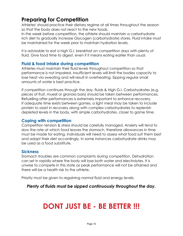## **Preparing for Competition**

Athletes' should practice their dietary regime at all times throughout the season so that the body does not react to the new foods.

In the week before competition, the athlete should maintain a carbohydrate rich diet to gradually increase Glycogen (carbohydrate) stores. Fluid intake must be maintained for the week prior to maintain hydration levels.

It is advisable to eat a high G.I. breakfast on competition days with plenty of fluid. Give food time to digest, even if it means eating earlier than usual.

#### **Fluid & food Intake during competition**

Athletes must maintain their fluid levels throughout competition so that performance is not impaired. Insufficient levels will limit the bodies capacity to lose heat via sweating and will result in overheating. Sipping regular small amounts of water is best practice.

If competition continues through the day, fluids & High G.I. Carbohydrates (e.g. pieces of fruit, muesli or granola bars) should be taken between performances. Refuelling after performances is extremely important to enhance recovery. If adequate time exists between games, a light meal may be taken to include protein to assist in recovery along with complex carbohydrates to replenish depleted levels in the body, with simple carbohydrates, closer to game time.

#### **Coping with competition**

Competition tension & stress should be carefully managed. Anxiety will tend to slow the rate at which food leaves the stomach, therefore allowances in time must be made for eating. Individuals will need to assess what food suit them best and adapt their diet accordingly. In some instances carbohydrate drinks may be used as a food substitute.

#### **Sickness**

Stomach troubles are common complaints during competition. Dehydration can set in rapidly where the body will lose both water and electrolytes. It is unwise to compete in this state as peak performance will not be attained and there will be a health risk to the athlete.

Priority must be given to regaining normal fluid and energy levels.

*Plenty of fluids must be sipped continuously throughout the day.* 

## **DONT JUST BE - BE BETTER !!!**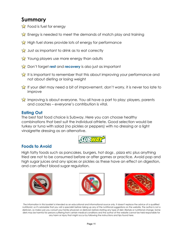## **Summary**

- Food is fuel for energy
- Energy is needed to meet the demands of match play and training
- High fuel stores provide lots of energy for performance
- Just as important to drink as to eat correctly
- Young players use more energy than adults
- **Ex** Don't forget **rest** and **recovery** is also just as important
- It is important to remember that this about improving your performance and not about dieting or losing weight
- If your diet may need a bit of improvement, don't worry, it is never too late to improve
- Improving is about everyone. You all have a part to play: players, parents and coaches – everyone's contribution is vital.

#### **Eating Out**

The best fast food choice is Subway. Here you can choose healthy combinations that best suit the individual athlete. Good selection would be turkey or tuna with salad (no pickles or peppers) with no dressing or a light vinaigrette dressing as an alternative.



#### **Foods to Avoid**

High fatty foods such as pancakes, burgers, hot dogs , pizza etc plus anything fried are not to be consumed before or after games or practice. Avoid pop and high sugar juices and any spices or pickles as these have an effect on digestion, and can affect blood sugar regulation.







The information in this booklet is intended as an educational and informational source only. It doesn't replace the advice of a qualified nutritionist, so it's advisable that you visit a specialist before taking up any of the nutritional suggestions on the website. The author is not a dietician, so make sure you consult your family physician or dietician before starting any type of diet, lifestyle or nutritional change. Some diets may be harmful for persons suffering from certain medical conditions and the author of the website cannot be held responsible for any harm or injury that might occur by following the instructions and tips found here.